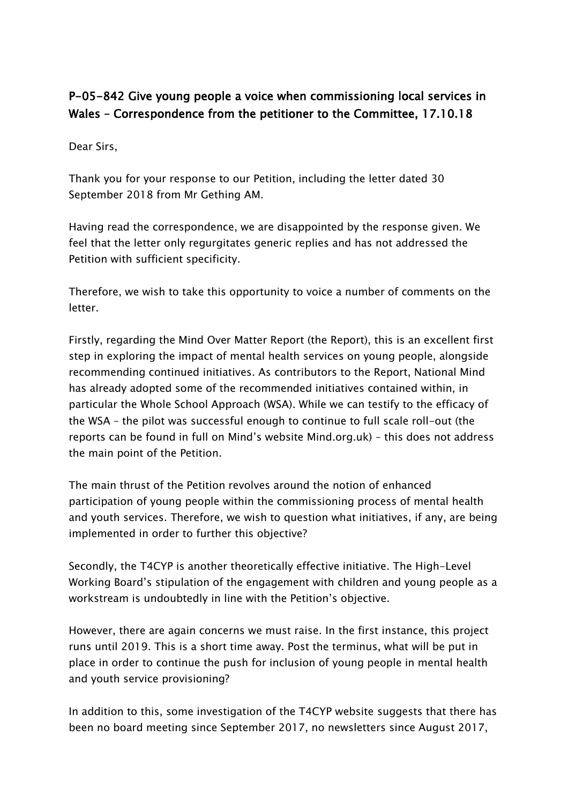## P-05-842 Give young people a voice when commissioning local services in Wales – Correspondence from the petitioner to the Committee, 17.10.18

Dear Sirs,

Thank you for your response to our Petition, including the letter dated 30 September 2018 from Mr Gething AM.

Having read the correspondence, we are disappointed by the response given. We feel that the letter only regurgitates generic replies and has not addressed the Petition with sufficient specificity.

Therefore, we wish to take this opportunity to voice a number of comments on the letter.

Firstly, regarding the Mind Over Matter Report (the Report), this is an excellent first step in exploring the impact of mental health services on young people, alongside recommending continued initiatives. As contributors to the Report, National Mind has already adopted some of the recommended initiatives contained within, in particular the Whole School Approach (WSA). While we can testify to the efficacy of the WSA – the pilot was successful enough to continue to full scale roll-out (the reports can be found in full on Mind's website Mind.org.uk) – this does not address the main point of the Petition.

The main thrust of the Petition revolves around the notion of enhanced participation of young people within the commissioning process of mental health and youth services. Therefore, we wish to question what initiatives, if any, are being implemented in order to further this objective?

Secondly, the T4CYP is another theoretically effective initiative. The High-Level Working Board's stipulation of the engagement with children and young people as a workstream is undoubtedly in line with the Petition's objective.

However, there are again concerns we must raise. In the first instance, this project runs until 2019. This is a short time away. Post the terminus, what will be put in place in order to continue the push for inclusion of young people in mental health and youth service provisioning?

In addition to this, some investigation of the T4CYP website suggests that there has been no board meeting since September 2017, no newsletters since August 2017,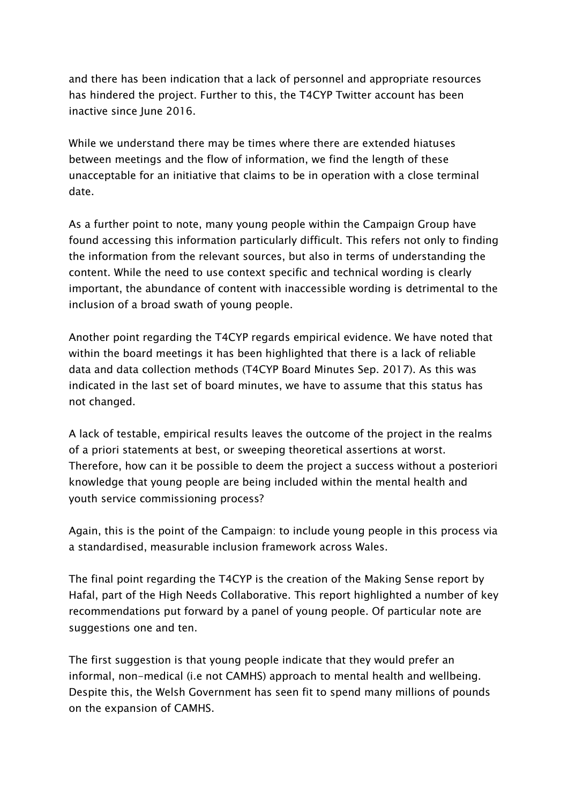and there has been indication that a lack of personnel and appropriate resources has hindered the project. Further to this, the T4CYP Twitter account has been inactive since June 2016.

While we understand there may be times where there are extended hiatuses between meetings and the flow of information, we find the length of these unacceptable for an initiative that claims to be in operation with a close terminal date.

As a further point to note, many young people within the Campaign Group have found accessing this information particularly difficult. This refers not only to finding the information from the relevant sources, but also in terms of understanding the content. While the need to use context specific and technical wording is clearly important, the abundance of content with inaccessible wording is detrimental to the inclusion of a broad swath of young people.

Another point regarding the T4CYP regards empirical evidence. We have noted that within the board meetings it has been highlighted that there is a lack of reliable data and data collection methods (T4CYP Board Minutes Sep. 2017). As this was indicated in the last set of board minutes, we have to assume that this status has not changed.

A lack of testable, empirical results leaves the outcome of the project in the realms of a priori statements at best, or sweeping theoretical assertions at worst. Therefore, how can it be possible to deem the project a success without a posteriori knowledge that young people are being included within the mental health and youth service commissioning process?

Again, this is the point of the Campaign: to include young people in this process via a standardised, measurable inclusion framework across Wales.

The final point regarding the T4CYP is the creation of the Making Sense report by Hafal, part of the High Needs Collaborative. This report highlighted a number of key recommendations put forward by a panel of young people. Of particular note are suggestions one and ten.

The first suggestion is that young people indicate that they would prefer an informal, non-medical (i.e not CAMHS) approach to mental health and wellbeing. Despite this, the Welsh Government has seen fit to spend many millions of pounds on the expansion of CAMHS.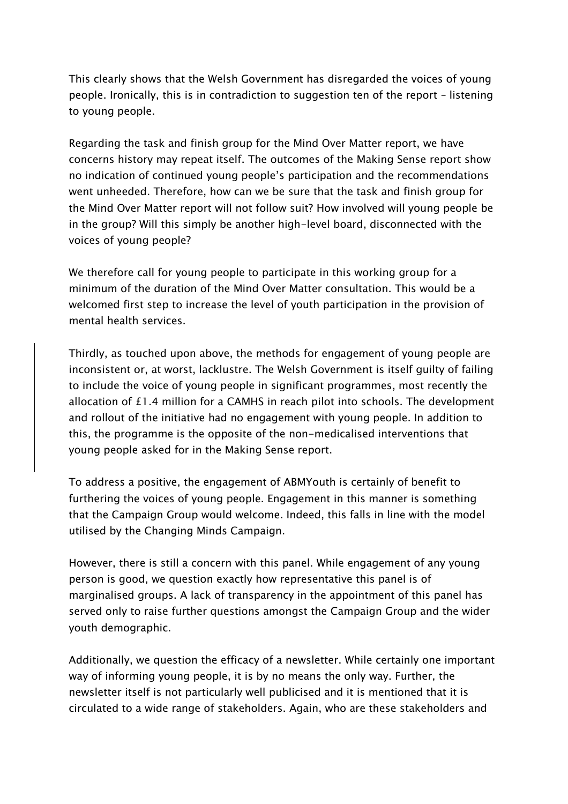This clearly shows that the Welsh Government has disregarded the voices of young people. Ironically, this is in contradiction to suggestion ten of the report – listening to young people.

Regarding the task and finish group for the Mind Over Matter report, we have concerns history may repeat itself. The outcomes of the Making Sense report show no indication of continued young people's participation and the recommendations went unheeded. Therefore, how can we be sure that the task and finish group for the Mind Over Matter report will not follow suit? How involved will young people be in the group? Will this simply be another high-level board, disconnected with the voices of young people?

We therefore call for young people to participate in this working group for a minimum of the duration of the Mind Over Matter consultation. This would be a welcomed first step to increase the level of youth participation in the provision of mental health services.

Thirdly, as touched upon above, the methods for engagement of young people are inconsistent or, at worst, lacklustre. The Welsh Government is itself guilty of failing to include the voice of young people in significant programmes, most recently the allocation of £1.4 million for a CAMHS in reach pilot into schools. The development and rollout of the initiative had no engagement with young people. In addition to this, the programme is the opposite of the non-medicalised interventions that young people asked for in the Making Sense report.

To address a positive, the engagement of ABMYouth is certainly of benefit to furthering the voices of young people. Engagement in this manner is something that the Campaign Group would welcome. Indeed, this falls in line with the model utilised by the Changing Minds Campaign.

However, there is still a concern with this panel. While engagement of any young person is good, we question exactly how representative this panel is of marginalised groups. A lack of transparency in the appointment of this panel has served only to raise further questions amongst the Campaign Group and the wider youth demographic.

Additionally, we question the efficacy of a newsletter. While certainly one important way of informing young people, it is by no means the only way. Further, the newsletter itself is not particularly well publicised and it is mentioned that it is circulated to a wide range of stakeholders. Again, who are these stakeholders and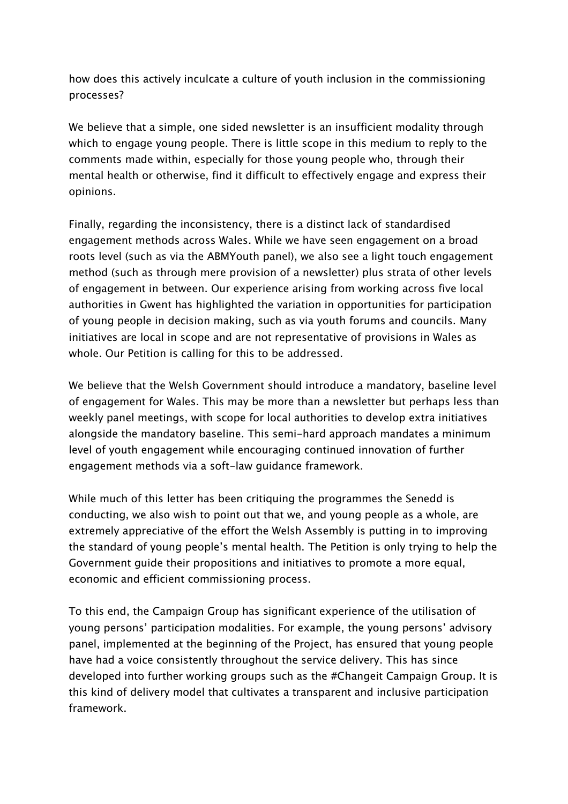how does this actively inculcate a culture of youth inclusion in the commissioning processes?

We believe that a simple, one sided newsletter is an insufficient modality through which to engage young people. There is little scope in this medium to reply to the comments made within, especially for those young people who, through their mental health or otherwise, find it difficult to effectively engage and express their opinions.

Finally, regarding the inconsistency, there is a distinct lack of standardised engagement methods across Wales. While we have seen engagement on a broad roots level (such as via the ABMYouth panel), we also see a light touch engagement method (such as through mere provision of a newsletter) plus strata of other levels of engagement in between. Our experience arising from working across five local authorities in Gwent has highlighted the variation in opportunities for participation of young people in decision making, such as via youth forums and councils. Many initiatives are local in scope and are not representative of provisions in Wales as whole. Our Petition is calling for this to be addressed.

We believe that the Welsh Government should introduce a mandatory, baseline level of engagement for Wales. This may be more than a newsletter but perhaps less than weekly panel meetings, with scope for local authorities to develop extra initiatives alongside the mandatory baseline. This semi-hard approach mandates a minimum level of youth engagement while encouraging continued innovation of further engagement methods via a soft-law guidance framework.

While much of this letter has been critiquing the programmes the Senedd is conducting, we also wish to point out that we, and young people as a whole, are extremely appreciative of the effort the Welsh Assembly is putting in to improving the standard of young people's mental health. The Petition is only trying to help the Government guide their propositions and initiatives to promote a more equal, economic and efficient commissioning process.

To this end, the Campaign Group has significant experience of the utilisation of young persons' participation modalities. For example, the young persons' advisory panel, implemented at the beginning of the Project, has ensured that young people have had a voice consistently throughout the service delivery. This has since developed into further working groups such as the #Changeit Campaign Group. It is this kind of delivery model that cultivates a transparent and inclusive participation framework.